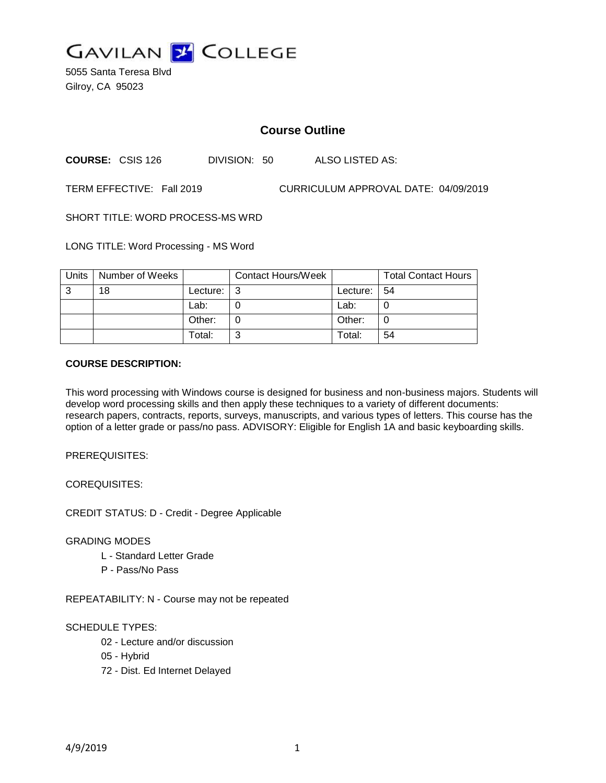

5055 Santa Teresa Blvd Gilroy, CA 95023

# **Course Outline**

**COURSE:** CSIS 126 DIVISION: 50 ALSO LISTED AS:

TERM EFFECTIVE: Fall 2019 CURRICULUM APPROVAL DATE: 04/09/2019

SHORT TITLE: WORD PROCESS-MS WRD

LONG TITLE: Word Processing - MS Word

| Units | Number of Weeks |          | <b>Contact Hours/Week</b> |          | <b>Total Contact Hours</b> |
|-------|-----------------|----------|---------------------------|----------|----------------------------|
| 3     | 18              | Lecture: | l 3                       | Lecture: | -54                        |
|       |                 | Lab:     |                           | Lab:     |                            |
|       |                 | Other:   |                           | Other:   |                            |
|       |                 | Total:   | 2                         | Total:   | 54                         |

#### **COURSE DESCRIPTION:**

This word processing with Windows course is designed for business and non-business majors. Students will develop word processing skills and then apply these techniques to a variety of different documents: research papers, contracts, reports, surveys, manuscripts, and various types of letters. This course has the option of a letter grade or pass/no pass. ADVISORY: Eligible for English 1A and basic keyboarding skills.

PREREQUISITES:

COREQUISITES:

CREDIT STATUS: D - Credit - Degree Applicable

GRADING MODES

- L Standard Letter Grade
- P Pass/No Pass

REPEATABILITY: N - Course may not be repeated

### SCHEDULE TYPES:

- 02 Lecture and/or discussion
- 05 Hybrid
- 72 Dist. Ed Internet Delayed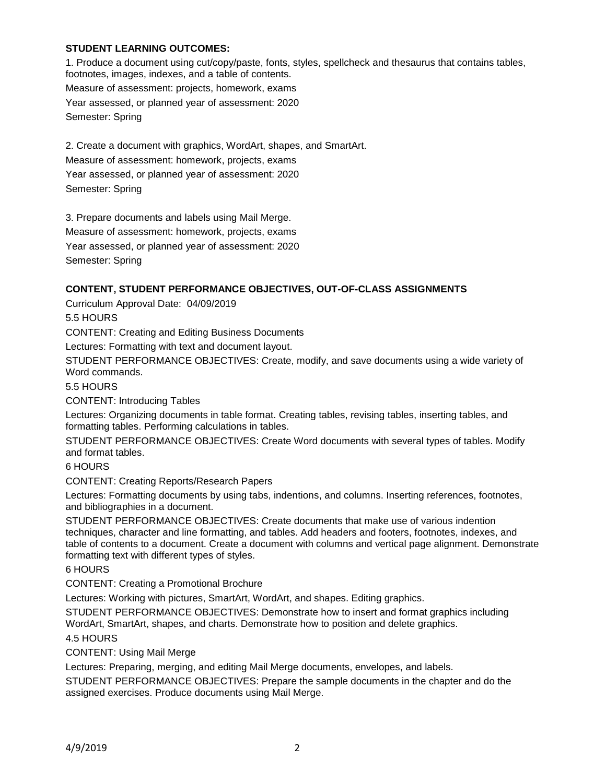### **STUDENT LEARNING OUTCOMES:**

1. Produce a document using cut/copy/paste, fonts, styles, spellcheck and thesaurus that contains tables, footnotes, images, indexes, and a table of contents. Measure of assessment: projects, homework, exams Year assessed, or planned year of assessment: 2020 Semester: Spring

2. Create a document with graphics, WordArt, shapes, and SmartArt. Measure of assessment: homework, projects, exams Year assessed, or planned year of assessment: 2020 Semester: Spring

3. Prepare documents and labels using Mail Merge. Measure of assessment: homework, projects, exams Year assessed, or planned year of assessment: 2020 Semester: Spring

### **CONTENT, STUDENT PERFORMANCE OBJECTIVES, OUT-OF-CLASS ASSIGNMENTS**

Curriculum Approval Date: 04/09/2019

5.5 HOURS

CONTENT: Creating and Editing Business Documents

Lectures: Formatting with text and document layout.

STUDENT PERFORMANCE OBJECTIVES: Create, modify, and save documents using a wide variety of Word commands.

5.5 HOURS

CONTENT: Introducing Tables

Lectures: Organizing documents in table format. Creating tables, revising tables, inserting tables, and formatting tables. Performing calculations in tables.

STUDENT PERFORMANCE OBJECTIVES: Create Word documents with several types of tables. Modify and format tables.

6 HOURS

CONTENT: Creating Reports/Research Papers

Lectures: Formatting documents by using tabs, indentions, and columns. Inserting references, footnotes, and bibliographies in a document.

STUDENT PERFORMANCE OBJECTIVES: Create documents that make use of various indention techniques, character and line formatting, and tables. Add headers and footers, footnotes, indexes, and table of contents to a document. Create a document with columns and vertical page alignment. Demonstrate formatting text with different types of styles.

6 HOURS

CONTENT: Creating a Promotional Brochure

Lectures: Working with pictures, SmartArt, WordArt, and shapes. Editing graphics.

STUDENT PERFORMANCE OBJECTIVES: Demonstrate how to insert and format graphics including WordArt, SmartArt, shapes, and charts. Demonstrate how to position and delete graphics.

4.5 HOURS

CONTENT: Using Mail Merge

Lectures: Preparing, merging, and editing Mail Merge documents, envelopes, and labels.

STUDENT PERFORMANCE OBJECTIVES: Prepare the sample documents in the chapter and do the assigned exercises. Produce documents using Mail Merge.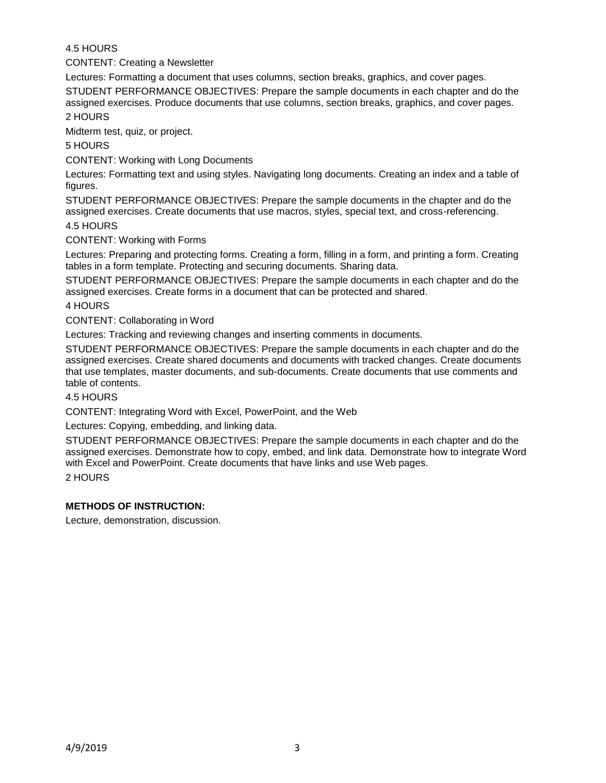## 4.5 HOURS

CONTENT: Creating a Newsletter

Lectures: Formatting a document that uses columns, section breaks, graphics, and cover pages.

STUDENT PERFORMANCE OBJECTIVES: Prepare the sample documents in each chapter and do the assigned exercises. Produce documents that use columns, section breaks, graphics, and cover pages.

2 HOURS

Midterm test, quiz, or project.

5 HOURS

CONTENT: Working with Long Documents

Lectures: Formatting text and using styles. Navigating long documents. Creating an index and a table of figures.

STUDENT PERFORMANCE OBJECTIVES: Prepare the sample documents in the chapter and do the assigned exercises. Create documents that use macros, styles, special text, and cross-referencing. 4.5 HOURS

CONTENT: Working with Forms

Lectures: Preparing and protecting forms. Creating a form, filling in a form, and printing a form. Creating tables in a form template. Protecting and securing documents. Sharing data.

STUDENT PERFORMANCE OBJECTIVES: Prepare the sample documents in each chapter and do the assigned exercises. Create forms in a document that can be protected and shared.

4 HOURS

CONTENT: Collaborating in Word

Lectures: Tracking and reviewing changes and inserting comments in documents.

STUDENT PERFORMANCE OBJECTIVES: Prepare the sample documents in each chapter and do the assigned exercises. Create shared documents and documents with tracked changes. Create documents that use templates, master documents, and sub-documents. Create documents that use comments and table of contents.

### 4.5 HOURS

CONTENT: Integrating Word with Excel, PowerPoint, and the Web

Lectures: Copying, embedding, and linking data.

STUDENT PERFORMANCE OBJECTIVES: Prepare the sample documents in each chapter and do the assigned exercises. Demonstrate how to copy, embed, and link data. Demonstrate how to integrate Word with Excel and PowerPoint. Create documents that have links and use Web pages.

2 HOURS

### **METHODS OF INSTRUCTION:**

Lecture, demonstration, discussion.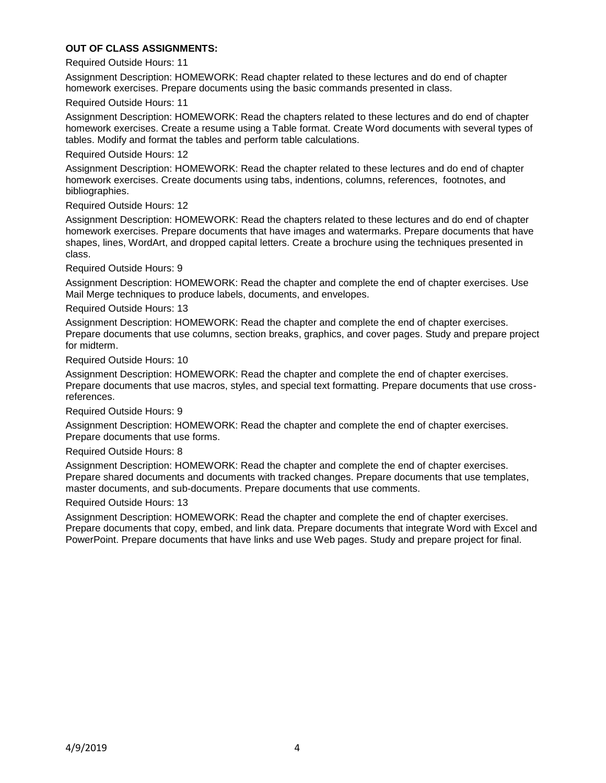### **OUT OF CLASS ASSIGNMENTS:**

Required Outside Hours: 11

Assignment Description: HOMEWORK: Read chapter related to these lectures and do end of chapter homework exercises. Prepare documents using the basic commands presented in class.

Required Outside Hours: 11

Assignment Description: HOMEWORK: Read the chapters related to these lectures and do end of chapter homework exercises. Create a resume using a Table format. Create Word documents with several types of tables. Modify and format the tables and perform table calculations.

Required Outside Hours: 12

Assignment Description: HOMEWORK: Read the chapter related to these lectures and do end of chapter homework exercises. Create documents using tabs, indentions, columns, references, footnotes, and bibliographies.

Required Outside Hours: 12

Assignment Description: HOMEWORK: Read the chapters related to these lectures and do end of chapter homework exercises. Prepare documents that have images and watermarks. Prepare documents that have shapes, lines, WordArt, and dropped capital letters. Create a brochure using the techniques presented in class.

Required Outside Hours: 9

Assignment Description: HOMEWORK: Read the chapter and complete the end of chapter exercises. Use Mail Merge techniques to produce labels, documents, and envelopes.

Required Outside Hours: 13

Assignment Description: HOMEWORK: Read the chapter and complete the end of chapter exercises. Prepare documents that use columns, section breaks, graphics, and cover pages. Study and prepare project for midterm.

Required Outside Hours: 10

Assignment Description: HOMEWORK: Read the chapter and complete the end of chapter exercises. Prepare documents that use macros, styles, and special text formatting. Prepare documents that use crossreferences.

Required Outside Hours: 9

Assignment Description: HOMEWORK: Read the chapter and complete the end of chapter exercises. Prepare documents that use forms.

### Required Outside Hours: 8

Assignment Description: HOMEWORK: Read the chapter and complete the end of chapter exercises. Prepare shared documents and documents with tracked changes. Prepare documents that use templates, master documents, and sub-documents. Prepare documents that use comments.

### Required Outside Hours: 13

Assignment Description: HOMEWORK: Read the chapter and complete the end of chapter exercises. Prepare documents that copy, embed, and link data. Prepare documents that integrate Word with Excel and PowerPoint. Prepare documents that have links and use Web pages. Study and prepare project for final.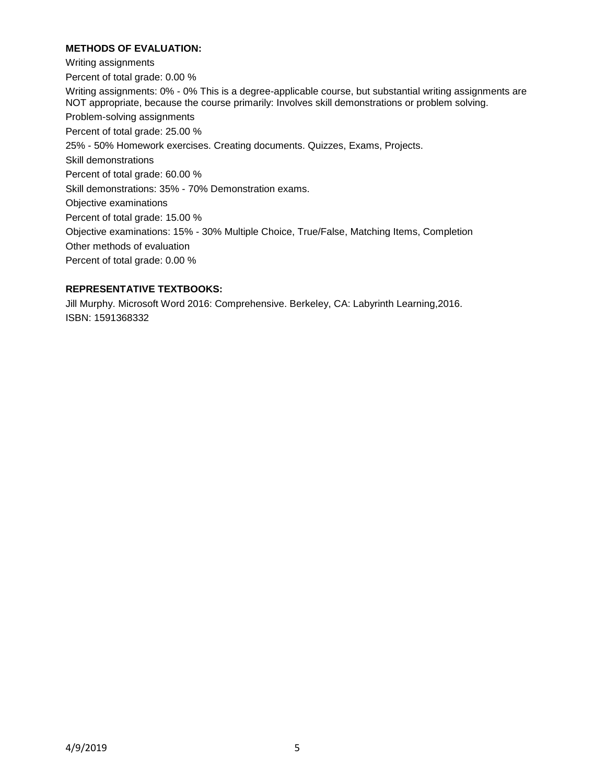### **METHODS OF EVALUATION:**

Writing assignments Percent of total grade: 0.00 % Writing assignments: 0% - 0% This is a degree-applicable course, but substantial writing assignments are NOT appropriate, because the course primarily: Involves skill demonstrations or problem solving. Problem-solving assignments Percent of total grade: 25.00 % 25% - 50% Homework exercises. Creating documents. Quizzes, Exams, Projects. Skill demonstrations Percent of total grade: 60.00 % Skill demonstrations: 35% - 70% Demonstration exams. Objective examinations Percent of total grade: 15.00 % Objective examinations: 15% - 30% Multiple Choice, True/False, Matching Items, Completion Other methods of evaluation Percent of total grade: 0.00 %

### **REPRESENTATIVE TEXTBOOKS:**

Jill Murphy. Microsoft Word 2016: Comprehensive. Berkeley, CA: Labyrinth Learning,2016. ISBN: 1591368332